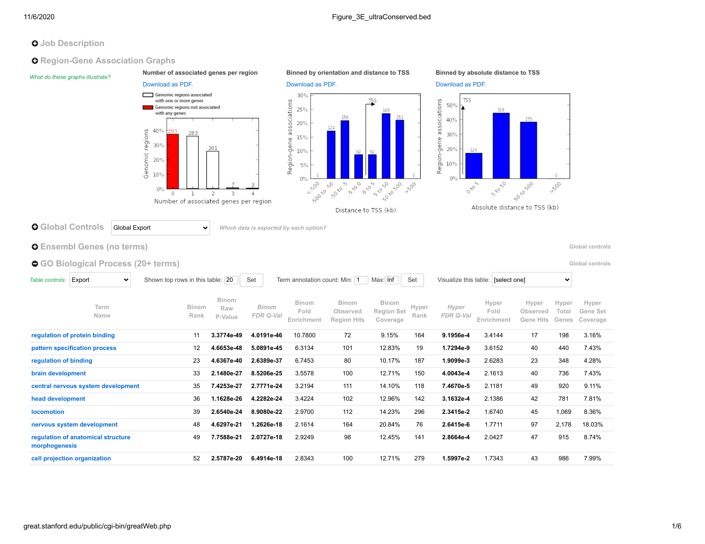## **O** Job Description

**Q** Region-Gene Association Graphs

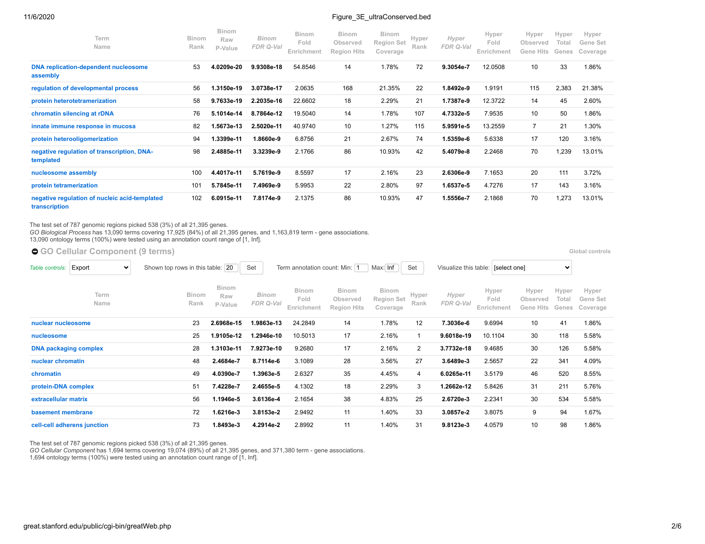#### 11/6/2020 Figure 3E ultraConserved.bed

| Term<br>Name                                                   | <b>Binom</b><br>Rank | <b>Binom</b><br>Raw<br>P-Value | <b>Binom</b><br>FDR Q-Val | <b>Binom</b><br>Fold<br>Enrichment | <b>Binom</b><br>Observed<br><b>Region Hits</b> | <b>Binom</b><br>Region Set<br>Coverage | Hyper<br>Rank | Hyper<br>FDR Q-Val | Hyper<br>Fold<br>Enrichment | Hyper<br>Observed<br><b>Hits</b><br>Gene | Hyper<br>Total<br>Genes | Hyper<br>Gene Set<br>Coverage |
|----------------------------------------------------------------|----------------------|--------------------------------|---------------------------|------------------------------------|------------------------------------------------|----------------------------------------|---------------|--------------------|-----------------------------|------------------------------------------|-------------------------|-------------------------------|
| <b>DNA replication-dependent nucleosome</b><br>assembly        | 53                   | 4.0209e-20                     | 9.9308e-18                | 54.8546                            | 14                                             | 1.78%                                  | 72            | 9.3054e-7          | 12.0508                     | 10                                       | 33                      | 1.86%                         |
| regulation of developmental process                            | 56                   | 1.3150e-19                     | 3.0738e-17                | 2.0635                             | 168                                            | 21.35%                                 | 22            | 1.8492e-9          | 1.9191                      | 115                                      | 2,383                   | 21.38%                        |
| protein heterotetramerization                                  | 58                   | 9.7633e-19                     | 2.2035e-16                | 22.6602                            | 18                                             | 2.29%                                  | 21            | 1.7387e-9          | 12.3722                     | 14                                       | 45                      | 2.60%                         |
| chromatin silencing at rDNA                                    | 76                   | 5.1014e-14                     | 8.7864e-12                | 19.5040                            | 14                                             | 1.78%                                  | 107           | 4.7332e-5          | 7.9535                      | 10                                       | 50                      | 1.86%                         |
| innate immune response in mucosa                               | 82                   | 1.5673e-13                     | 2.5020e-11                | 40.9740                            | 10                                             | 1.27%                                  | 115           | 5.9591e-5          | 13.2559                     | $\overline{7}$                           | 21                      | 1.30%                         |
| protein heterooligomerization                                  | 94                   | 1.3399e-11                     | 1.8660e-9                 | 6.8756                             | 21                                             | 2.67%                                  | 74            | 1.5359e-6          | 5.6338                      | 17                                       | 120                     | 3.16%                         |
| negative regulation of transcription, DNA-<br>templated        | 98                   | 2.4885e-11                     | 3.3239e-9                 | 2.1766                             | 86                                             | 10.93%                                 | 42            | 5.4079e-8          | 2.2468                      | 70                                       | 1,239                   | 13.01%                        |
| nucleosome assembly                                            | 100                  | 4.4017e-11                     | 5.7619e-9                 | 8.5597                             | 17                                             | 2.16%                                  | 23            | 2.6306e-9          | 7.1653                      | 20                                       | 111                     | 3.72%                         |
| protein tetramerization                                        | 101                  | 5.7845e-11                     | 7.4969e-9                 | 5.9953                             | 22                                             | 2.80%                                  | 97            | 1.6537e-5          | 4.7276                      | 17                                       | 143                     | 3.16%                         |
| negative regulation of nucleic acid-templated<br>transcription | 102                  | 6.0915e-11                     | 7.8174e-9                 | 2.1375                             | 86                                             | 10.93%                                 | 47            | 1.5556e-7          | 2.1868                      | 70                                       | 1,273                   | 13.01%                        |

The test set of 787 genomic regions picked 538 (3%) of all 21,395 genes.

*GO Biological Process* has 13,090 terms covering 17,925 (84%) of all 21,395 genes, and 1,163,819 term - gene associations. 13,090 ontology terms (100%) were tested using an annotation count range of [1, Inf].

**[GO Cellular Component](https://great-help.atlassian.net/wiki/spaces/GREAT/Gene+Ontology) (9 terms) [Global controls](http://great.stanford.edu/public/cgi-bin/greatWeb.php#global_controls_header) Global controls Global controls Global controls** 

| Table controls:              | Export                      | $\checkmark$ | Shown top rows in this table: 20 |                                | Set                | Term annotation count: Min: 1      | Set                                            | Visualize this table: [select one]            |                |                    |                             |                                |                         |                               |
|------------------------------|-----------------------------|--------------|----------------------------------|--------------------------------|--------------------|------------------------------------|------------------------------------------------|-----------------------------------------------|----------------|--------------------|-----------------------------|--------------------------------|-------------------------|-------------------------------|
|                              | Term<br>Name                |              | <b>Binom</b><br>Rank             | <b>Binom</b><br>Raw<br>P-Value | Binom<br>FDR Q-Val | <b>Binom</b><br>Fold<br>Enrichment | <b>Binom</b><br>Observed<br><b>Region Hits</b> | <b>Binom</b><br><b>Region Set</b><br>Coverage | Hyper<br>Rank  | Hyper<br>FDR Q-Val | Hyper<br>Fold<br>Enrichment | Hyper<br>Observed<br>Gene Hits | Hyper<br>Total<br>Genes | Hyper<br>Gene Set<br>Coverage |
| nuclear nucleosome           |                             |              | 23                               | 2.6968e-15                     | 1.9863e-13         | 24.2849                            | 14                                             | 1.78%                                         | 12             | 7.3036e-6          | 9.6994                      | 10                             | 41                      | 1.86%                         |
| nucleosome                   |                             |              | 25                               | 1.9105e-12                     | 1.2946e-10         | 10.5013                            | 17                                             | 2.16%                                         |                | 9.6018e-19         | 10.1104                     | 30                             | 118                     | 5.58%                         |
| <b>DNA packaging complex</b> |                             |              | 28                               | 1.3103e-11                     | 7.9273e-10         | 9.2680                             | 17                                             | 2.16%                                         | $\overline{2}$ | 3.7732e-18         | 9.4685                      | 30                             | 126                     | 5.58%                         |
| nuclear chromatin            |                             |              | 48                               | 2.4684e-7                      | 8.7114e-6          | 3.1089                             | 28                                             | 3.56%                                         | 27             | 3.6489e-3          | 2.5657                      | 22                             | 341                     | 4.09%                         |
| chromatin                    |                             |              | 49                               | 4.0390e-7                      | 1.3963e-5          | 2.6327                             | 35                                             | 4.45%                                         | 4              | 6.0265e-11         | 3.5179                      | 46                             | 520                     | 8.55%                         |
| protein-DNA complex          |                             |              | 51                               | 7.4228e-7                      | 2.4655e-5          | 4.1302                             | 18                                             | 2.29%                                         | 3              | 1.2662e-12         | 5.8426                      | 31                             | 211                     | 5.76%                         |
| extracellular matrix         |                             |              | 56                               | 1.1946e-5                      | 3.6136e-4          | 2.1654                             | 38                                             | 4.83%                                         | 25             | 2.6720e-3          | 2.2341                      | 30                             | 534                     | 5.58%                         |
| basement membrane            |                             |              | 72                               | 1.6216e-3                      | 3.8153e-2          | 2.9492                             | 11                                             | 1.40%                                         | 33             | 3.0857e-2          | 3.8075                      | 9                              | 94                      | 1.67%                         |
|                              | cell-cell adherens junction |              | 73                               | 1.8493e-3                      | 4.2914e-2          | 2.8992                             | 11                                             | 1.40%                                         | 31             | 9.8123e-3          | 4.0579                      | 10                             | 98                      | 1.86%                         |

The test set of 787 genomic regions picked 538 (3%) of all 21,395 genes.

*GO Cellular Component* has 1,694 terms covering 19,074 (89%) of all 21,395 genes, and 371,380 term - gene associations.

1,694 ontology terms (100%) were tested using an annotation count range of [1, Inf].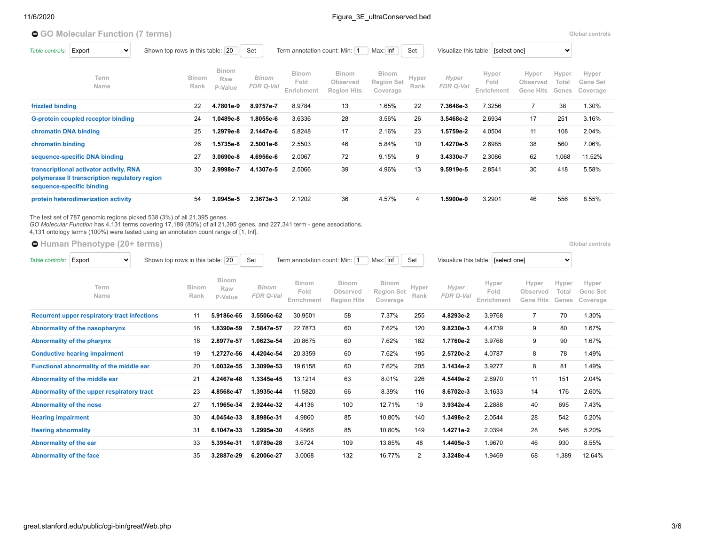### 11/6/2020 **Figure** 3E ultraConserved.bed **Figure** 3E ultraConserved.bed

# ● [GO Molecular Function](https://great-help.atlassian.net/wiki/spaces/GREAT/Gene+Ontology) (7 terms) **Blooman Controls and Controls Controls Controls Clobal controls <b>Clobal controls**

| Table controls:       | Shown top rows in this table: 20                                                                                      |  |  | Set<br>Term annotation count: Min: 1<br>Max: Inf<br>Set |                                |                    |                                    |                                         |                                               | Visualize this table: [select one]<br>$\checkmark$ |                    |                             |                                       |                         |                               |
|-----------------------|-----------------------------------------------------------------------------------------------------------------------|--|--|---------------------------------------------------------|--------------------------------|--------------------|------------------------------------|-----------------------------------------|-----------------------------------------------|----------------------------------------------------|--------------------|-----------------------------|---------------------------------------|-------------------------|-------------------------------|
|                       | Term<br>Name                                                                                                          |  |  | Binom<br>Rank                                           | <b>Binom</b><br>Raw<br>P-Value | Binom<br>FDR Q-Val | <b>Binom</b><br>Fold<br>Enrichment | Binom<br>Observed<br><b>Region Hits</b> | <b>Binom</b><br><b>Region Set</b><br>Coverage | Hyper<br>Rank                                      | Hyper<br>FDR Q-Val | Hyper<br>Fold<br>Enrichment | Hyper<br>Observed<br><b>Gene Hits</b> | Hyper<br>Total<br>Genes | Hyper<br>Gene Set<br>Coverage |
| frizzled binding      |                                                                                                                       |  |  | 22                                                      | 4.7801e-9                      | 8.9757e-7          | 8.9784                             | 13                                      | 1.65%                                         | 22                                                 | 7.3648e-3          | 7.3256                      |                                       | 38                      | 1.30%                         |
|                       | G-protein coupled receptor binding                                                                                    |  |  | 24                                                      | 1.0489e-8                      | 1.8055e-6          | 3.6336                             | 28                                      | 3.56%                                         | 26                                                 | 3.5468e-2          | 2.6934                      | 17                                    | 251                     | 3.16%                         |
| chromatin DNA binding |                                                                                                                       |  |  | 25                                                      | 1.2979e-8                      | 2.1447e-6          | 5.8248                             | 17                                      | 2.16%                                         | 23                                                 | 1.5759e-2          | 4.0504                      | 11                                    | 108                     | 2.04%                         |
| chromatin binding     |                                                                                                                       |  |  | 26                                                      | 1.5735e-8                      | 2.5001e-6          | 2.5503                             | 46                                      | 5.84%                                         | 10                                                 | 1.4270e-5          | 2.6985                      | 38                                    | 560                     | 7.06%                         |
|                       | sequence-specific DNA binding                                                                                         |  |  | 27                                                      | 3.0690e-8                      | 4.6956e-6          | 2.0067                             | 72                                      | 9.15%                                         | 9                                                  | 3.4330e-7          | 2.3086                      | 62                                    | 1,068                   | 11.52%                        |
|                       | transcriptional activator activity, RNA<br>polymerase II transcription regulatory region<br>sequence-specific binding |  |  | 30                                                      | 2.9998e-7                      | 4.1307e-5          | 2.5066                             | 39                                      | 4.96%                                         | 13                                                 | 9.5919e-5          | 2.8541                      | 30                                    | 418                     | 5.58%                         |
|                       | protein heterodimerization activity                                                                                   |  |  | 54                                                      | 3.0945e-5                      | 2.3673e-3          | 2.1202                             | 36                                      | 4.57%                                         | 4                                                  | 1.5900e-9          | 3.2901                      | 46                                    | 556                     | 8.55%                         |

The test set of 787 genomic regions picked 538 (3%) of all 21,395 genes.<br>*GO Molecular Function* has 4,131 terms covering 17,189 (80%) of all 21,395 genes, and 227,341 term - gene associations.<br>4,131 ontology terms (100%)

● [Human Phenotype](https://great-help.atlassian.net/wiki/spaces/GREAT/Human+Phenotype) (20+ terms) **Blook** controls **Clobal controls** 

| Table controls:                | Export<br>$\checkmark$                              | Shown top rows in this table: 20 | Term annotation count: Min: 1<br>Set<br>Max: Inf<br>Set |                           |                                    |                                                |                                               |               | Visualize this table: [select one] | $\checkmark$                |                                       |                         |                               |
|--------------------------------|-----------------------------------------------------|----------------------------------|---------------------------------------------------------|---------------------------|------------------------------------|------------------------------------------------|-----------------------------------------------|---------------|------------------------------------|-----------------------------|---------------------------------------|-------------------------|-------------------------------|
|                                | Term<br>Name                                        | <b>Binom</b><br>Rank             | Binom<br>Raw<br>P-Value                                 | <b>Binom</b><br>FDR Q-Val | <b>Binom</b><br>Fold<br>Enrichment | <b>Binom</b><br>Observed<br><b>Region Hits</b> | <b>Binom</b><br><b>Region Set</b><br>Coverage | Hyper<br>Rank | Hyper<br>FDR Q-Val                 | Hyper<br>Fold<br>Enrichment | Hyper<br>Observed<br><b>Gene Hits</b> | Hyper<br>Total<br>Genes | Hyper<br>Gene Set<br>Coverage |
|                                | <b>Recurrent upper respiratory tract infections</b> | 11                               | 5.9186e-65                                              | 3.5506e-62                | 30.9501                            | 58                                             | 7.37%                                         | 255           | 4.8293e-2                          | 3.9768                      |                                       | 70                      | 1.30%                         |
|                                | Abnormality of the nasopharynx                      | 16                               | 1.8390e-59                                              | 7.5847e-57                | 22.7873                            | 60                                             | 7.62%                                         | 120           | 9.8230e-3                          | 4.4739                      | 9                                     | 80                      | 1.67%                         |
|                                | Abnormality of the pharynx                          | 18                               | 2.8977e-57                                              | 1.0623e-54                | 20.8675                            | 60                                             | 7.62%                                         | 162           | 1.7760e-2                          | 3.9768                      | 9                                     | 90                      | 1.67%                         |
|                                | <b>Conductive hearing impairment</b>                | 19                               | 1.2727e-56                                              | 4.4204e-54                | 20.3359                            | 60                                             | 7.62%                                         | 195           | 2.5720e-2                          | 4.0787                      | 8                                     | 78                      | 1.49%                         |
|                                | Functional abnormality of the middle ear            | 20                               | 1.0032e-55                                              | 3.3099e-53                | 19.6158                            | 60                                             | 7.62%                                         | 205           | 3.1434e-2                          | 3.9277                      | 8                                     | 81                      | 1.49%                         |
|                                | Abnormality of the middle ear                       | 21                               | 4.2467e-48                                              | 1.3345e-45                | 13.1214                            | 63                                             | 8.01%                                         | 226           | 4.5449e-2                          | 2.8970                      | 11                                    | 151                     | 2.04%                         |
|                                | Abnormality of the upper respiratory tract          | 23                               | 4.8568e-47                                              | 1.3935e-44                | 11.5820                            | 66                                             | 8.39%                                         | 116           | 8.6702e-3                          | 3.1633                      | 14                                    | 176                     | 2.60%                         |
| <b>Abnormality of the nose</b> |                                                     | 27                               | 1.1965e-34                                              | 2.9244e-32                | 4.4136                             | 100                                            | 12.71%                                        | 19            | 3.9342e-4                          | 2.2888                      | 40                                    | 695                     | 7.43%                         |
| <b>Hearing impairment</b>      |                                                     | 30                               | 4.0454e-33                                              | 8.8986e-31                | 4.9860                             | 85                                             | 10.80%                                        | 140           | 1.3498e-2                          | 2.0544                      | 28                                    | 542                     | 5.20%                         |
| <b>Hearing abnormality</b>     |                                                     | 31                               | 6.1047e-33                                              | 1.2995e-30                | 4.9566                             | 85                                             | 10.80%                                        | 149           | 1.4271e-2                          | 2.0394                      | 28                                    | 546                     | 5.20%                         |
| <b>Abnormality of the ear</b>  |                                                     | 33                               | 5.3954e-31                                              | 1.0789e-28                | 3.6724                             | 109                                            | 13.85%                                        | 48            | 1.4405e-3                          | 1.9670                      | 46                                    | 930                     | 8.55%                         |
| <b>Abnormality of the face</b> |                                                     | 35                               | 3.2887e-29                                              | 6.2006e-27                | 3.0068                             | 132                                            | 16.77%                                        | 2             | 3.3248e-4                          | 1.9469                      | 68                                    | 1,389                   | 12.64%                        |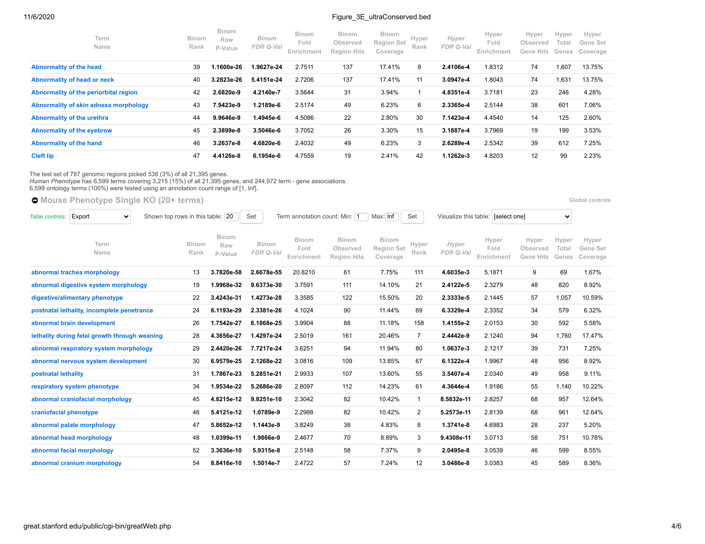### 11/6/2020 **Figure** 3E ultraConserved.bed **Figure** 3E ultraConserved.bed

| Term<br>Name                          | <b>Binom</b><br>Rank | <b>Binom</b><br>Raw<br>P-Value | <b>Binom</b><br>FDR Q-Val | <b>Binom</b><br>Fold<br>Enrichment | <b>Binom</b><br>Observed<br><b>Region Hits</b> | <b>Binom</b><br><b>Region Set</b><br>Coverage | Hyper<br>Rank | Hyper<br>FDR Q-Val | Hyper<br>Fold<br>Enrichment | Hyper<br>Observed<br>Gene Hits | Hyper<br>Total<br>Genes | Hyper<br>Gene Set<br>Coverage |  |
|---------------------------------------|----------------------|--------------------------------|---------------------------|------------------------------------|------------------------------------------------|-----------------------------------------------|---------------|--------------------|-----------------------------|--------------------------------|-------------------------|-------------------------------|--|
| Abnormality of the head               | 39                   | 1.1600e-26                     | 1.9627e-24                | 2.7511                             | 137                                            | 17.41%                                        | 8             | 2.4106e-4          | 1.8312                      | 74                             | 1,607                   | 13.75%                        |  |
| Abnormality of head or neck           | 40                   | 3.2823e-26                     | 5.4151e-24                | 2.7206                             | 137                                            | 17.41%                                        | 11            | 3.0947e-4          | 1.8043                      | 74                             | 1,631                   | 13.75%                        |  |
| Abnormality of the periorbital region | 42                   | 2.6820e-9                      | 4.2140e-7                 | 3.5644                             | 31                                             | 3.94%                                         |               | 4.8351e-4          | 3.7181                      | 23                             | 246                     | 4.28%                         |  |
| Abnormality of skin adnexa morphology | 43                   | 7.9423e-9                      | 1.2189e-6                 | 2.5174                             | 49                                             | 6.23%                                         | 6             | 2.3365e-4          | 2.5144                      | 38                             | 601                     | 7.06%                         |  |
| Abnormality of the urethra            | 44                   | 9.9646e-9                      | 1.4945e-6                 | 4.5086                             | 22                                             | 2.80%                                         | 30            | 7.1423e-4          | 4.4540                      | 14                             | 125                     | 2.60%                         |  |
| Abnormality of the eyebrow            | 45                   | 2.3899e-8                      | 3.5046e-6                 | 3.7052                             | 26                                             | 3.30%                                         | 15            | 3.1887e-4          | 3.7969                      | 19                             | 199                     | 3.53%                         |  |
| Abnormality of the hand               | 46                   | 3.2637e-8                      | 4.6820e-6                 | 2.4032                             | 49                                             | 6.23%                                         | 3             | 2.6289e-4          | 2.5342                      | 39                             | 612                     | 7.25%                         |  |
| <b>Cleft lip</b>                      | 47                   | 4.4126e-8                      | 6.1954e-6                 | 4.7559                             | 19                                             | 2.41%                                         | 42            | 1.1262e-3          | 4.8203                      | 12                             | 99                      | 2.23%                         |  |

The test set of 787 genomic regions picked 538 (3%) of all 21,395 genes.<br>*Human Phenotype* has 6,599 terms covering 3,215 (15%) of all 21,395 genes, and 244,972 term - gene associations.<br>6,599 ontology terms (100%) were te

|                        | <b>O</b> Mouse Phenotype Single KO (20+ terms) |              |                                  |                         |                                                         |                                    |                                                |                                        |                |                    |                                    |                                       |                         | Global controls               |
|------------------------|------------------------------------------------|--------------|----------------------------------|-------------------------|---------------------------------------------------------|------------------------------------|------------------------------------------------|----------------------------------------|----------------|--------------------|------------------------------------|---------------------------------------|-------------------------|-------------------------------|
| Table controls:        | Export                                         | $\checkmark$ | Shown top rows in this table: 20 |                         | Term annotation count: Min: 1<br>Set<br>Max: Inf<br>Set |                                    |                                                |                                        |                |                    | Visualize this table: [select one] |                                       |                         |                               |
|                        | Term<br>Name                                   |              | <b>Binom</b><br>Rank             | Binom<br>Raw<br>P-Value | <b>Binom</b><br>FDR Q-Val                               | <b>Binom</b><br>Fold<br>Enrichment | <b>Binom</b><br>Observed<br><b>Region Hits</b> | Binom<br><b>Region Set</b><br>Coverage | Hyper<br>Rank  | Hyper<br>FDR Q-Val | Hyper<br>Fold<br>Enrichment        | Hyper<br>Observed<br><b>Gene Hits</b> | Hyper<br>Total<br>Genes | Hyper<br>Gene Set<br>Coverage |
|                        | abnormal trachea morphology                    |              | 13                               | 3.7820e-58              | 2.6678e-55                                              | 20.8210                            | 61                                             | 7.75%                                  | 111            | 4.6035e-3          | 5.1871                             | 9                                     | 69                      | 1.67%                         |
|                        | abnormal digestive system morphology           |              | 19                               | 1.9968e-32              | 9.6373e-30                                              | 3.7591                             | 111                                            | 14.10%                                 | 21             | 2.4122e-5          | 2.3279                             | 48                                    | 820                     | 8.92%                         |
|                        | digestive/alimentary phenotype                 |              | 22                               | 3.4243e-31              | 1.4273e-28                                              | 3.3585                             | 122                                            | 15.50%                                 | 20             | 2.3333e-5          | 2.1445                             | 57                                    | 1,057                   | 10.59%                        |
|                        | postnatal lethality, incomplete penetrance     |              | 24                               | 6.1193e-29              | 2.3381e-26                                              | 4.1024                             | 90                                             | 11.44%                                 | 69             | 6.3329e-4          | 2.3352                             | 34                                    | 579                     | 6.32%                         |
|                        | abnormal brain development                     |              | 26                               | 1.7542e-27              | 6.1868e-25                                              | 3.9904                             | 88                                             | 11.18%                                 | 158            | 1.4155e-2          | 2.0153                             | 30                                    | 592                     | 5.58%                         |
|                        | lethality during fetal growth through weaning  |              | 28                               | 4.3656e-27              | 1.4297e-24                                              | 2.5019                             | 161                                            | 20.46%                                 | $\overline{7}$ | 2.4442e-9          | 2.1240                             | 94                                    | 1.760                   | 17.47%                        |
|                        | abnormal respiratory system morphology         |              | 29                               | 2.4420e-26              | 7.7217e-24                                              | 3.6251                             | 94                                             | 11.94%                                 | 80             | 1.0637e-3          | 2.1217                             | 39                                    | 731                     | 7.25%                         |
|                        | abnormal nervous system development            |              | 30                               | 6.9579e-25              | 2.1268e-22                                              | 3.0816                             | 109                                            | 13.85%                                 | 67             | 6.1322e-4          | 1.9967                             | 48                                    | 956                     | 8.92%                         |
| postnatal lethality    |                                                |              | 31                               | 1.7867e-23              | 5.2851e-21                                              | 2.9933                             | 107                                            | 13.60%                                 | 55             | 3.5407e-4          | 2.0340                             | 49                                    | 958                     | 9.11%                         |
|                        | respiratory system phenotype                   |              | 34                               | 1.9534e-22              | 5.2686e-20                                              | 2.8097                             | 112                                            | 14.23%                                 | 61             | 4.3644e-4          | 1.9186                             | 55                                    | 1,140                   | 10.22%                        |
|                        | abnormal craniofacial morphology               |              | 45                               | 4.8215e-12              | 9.8251e-10                                              | 2.3042                             | 82                                             | 10.42%                                 | $\mathbf{1}$   | 8.5832e-11         | 2.8257                             | 68                                    | 957                     | 12.64%                        |
| craniofacial phenotype |                                                |              | 46                               | 5.4121e-12              | 1.0789e-9                                               | 2.2988                             | 82                                             | 10.42%                                 | $\overline{c}$ | 5.2573e-11         | 2.8139                             | 68                                    | 961                     | 12.64%                        |
|                        | abnormal palate morphology                     |              | 47                               | 5.8652e-12              | 1.1443e-9                                               | 3.8249                             | 38                                             | 4.83%                                  | 8              | 1.3741e-8          | 4.6983                             | 28                                    | 237                     | 5.20%                         |
|                        | abnormal head morphology                       |              | 48                               | 1.0399e-11              | 1.9866e-9                                               | 2.4677                             | 70                                             | 8.89%                                  | 3              | 9.4308e-11         | 3.0713                             | 58                                    | 751                     | 10.78%                        |
|                        | abnormal facial morphology                     |              | 52                               | 3.3636e-10              | 5.9315e-8                                               | 2.5148                             | 58                                             | 7.37%                                  | 9              | 2.0495e-8          | 3.0539                             | 46                                    | 599                     | 8.55%                         |

**[abnormal cranium morphology](http://great.stanford.edu/public/cgi-bin/showTermDetails.php?termId=MP:0000438&ontoName=MGIPhenoSingleKO&species=mm10&ontoUiName=Mouse%20Phenotype%20Single%20KO&foreName=Figure_3E_ultraConserved.bed&backName=&sessionName=20201106-public-4.0.4-iSVljx)** 54 **8.8416e-10 1.5014e-7** 2.4722 57 7.24% 12 **3.0486e-8** 3.0383 45 589 8.36%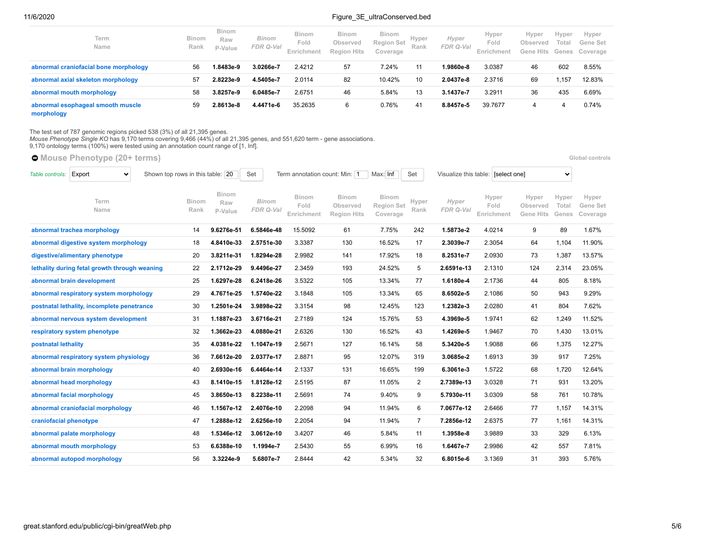### 11/6/2020 Figure 3E ultraConserved.bed

| Term<br>Name                                    | <b>Binom</b><br>Rank | <b>Binom</b><br>Raw<br>P-Value | Binom<br>FDR Q-Val | <b>Binom</b><br>Fold<br>Enrichment | <b>Binom</b><br>Observed<br><b>Region Hits</b> | <b>Binom</b><br><b>Region Set</b><br>Coverage | Hyper<br>Rank | Hyper<br>FDR Q-Val | Hyper<br>Fold<br>Enrichment | Hyper<br>Observed<br>Gene Hits | Hyper<br>Total | Hyper<br>Gene Set<br>Genes Coverage |
|-------------------------------------------------|----------------------|--------------------------------|--------------------|------------------------------------|------------------------------------------------|-----------------------------------------------|---------------|--------------------|-----------------------------|--------------------------------|----------------|-------------------------------------|
| abnormal craniofacial bone morphology           | 56                   | 8483e-9.                       | 3.0266e-7          | 2.4212                             | 57                                             | 7.24%                                         | 11            | 1.9860e-8          | 3.0387                      | 46                             | 602            | 8.55%                               |
| abnormal axial skeleton morphology              | 57                   | 2.8223e-9                      | 4.5405e-7          | 2.0114                             | 82                                             | 10.42%                                        | 10            | 2.0437e-8          | 2.3716                      | 69                             | .157           | 12.83%                              |
| abnormal mouth morphology                       | 58                   | 3.8257e-9                      | 6.0485e-7          | 2.6751                             | 46                                             | 5.84%                                         | 13            | 3.1437e-7          | 3.2911                      | 36                             | 435            | 6.69%                               |
| abnormal esophageal smooth muscle<br>morphology | 59                   | 2.8613e-8                      | 4.4471e-6          | 35.2635                            | 6                                              | 0.76%                                         | 41            | 8.8457e-5          | 39.7677                     |                                |                | 0.74%                               |

The test set of 787 genomic regions picked 538 (3%) of all 21,395 genes.<br>*Mouse Phenotype Single KO* has 9,170 terms covering 9,466 (44%) of all 21,395 genes, and 551,620 term - gene associations.<br>9,170 ontology terms (100

**[Mouse Phenotype](https://great-help.atlassian.net/wiki/spaces/GREAT/Mouse+Phenotype) (20+ terms) [Global controls](http://great.stanford.edu/public/cgi-bin/greatWeb.php#global_controls_header)** 

| Table controls:        | $\checkmark$<br>Export                        | Shown top rows in this table: 20 |                                | Term annotation count: Min: 1<br>Set<br>Max: Inf<br>Set<br>Visualize this table: [select one] |                                    |                                                |                                        |                |                    |                             |                                       | $\checkmark$            |                               |
|------------------------|-----------------------------------------------|----------------------------------|--------------------------------|-----------------------------------------------------------------------------------------------|------------------------------------|------------------------------------------------|----------------------------------------|----------------|--------------------|-----------------------------|---------------------------------------|-------------------------|-------------------------------|
|                        | Term<br>Name                                  | <b>Binom</b><br>Rank             | <b>Binom</b><br>Raw<br>P-Value | Binom<br>FDR Q-Val                                                                            | <b>Binom</b><br>Fold<br>Enrichment | <b>Binom</b><br>Observed<br><b>Region Hits</b> | <b>Binom</b><br>Region Set<br>Coverage | Hyper<br>Rank  | Hyper<br>FDR Q-Val | Hyper<br>Fold<br>Enrichment | Hyper<br>Observed<br><b>Gene Hits</b> | Hyper<br>Total<br>Genes | Hyper<br>Gene Set<br>Coverage |
|                        | abnormal trachea morphology                   | 14                               | 9.6276e-51                     | 6.5846e-48                                                                                    | 15.5092                            | 61                                             | 7.75%                                  | 242            | 1.5873e-2          | 4.0214                      | 9                                     | 89                      | 1.67%                         |
|                        | abnormal digestive system morphology          | 18                               | 4.8410e-33                     | 2.5751e-30                                                                                    | 3.3387                             | 130                                            | 16.52%                                 | 17             | 2.3039e-7          | 2.3054                      | 64                                    | 1,104                   | 11.90%                        |
|                        | digestive/alimentary phenotype                | 20                               | 3.8211e-31                     | 1.8294e-28                                                                                    | 2.9982                             | 141                                            | 17.92%                                 | 18             | 8.2531e-7          | 2.0930                      | 73                                    | 1,387                   | 13.57%                        |
|                        | lethality during fetal growth through weaning | 22                               | 2.1712e-29                     | 9.4496e-27                                                                                    | 2.3459                             | 193                                            | 24.52%                                 | 5              | 2.6591e-13         | 2.1310                      | 124                                   | 2,314                   | 23.05%                        |
|                        | abnormal brain development                    | 25                               | 1.6297e-28                     | 6.2418e-26                                                                                    | 3.5322                             | 105                                            | 13.34%                                 | 77             | 1.6180e-4          | 2.1736                      | 44                                    | 805                     | 8.18%                         |
|                        | abnormal respiratory system morphology        | 29                               | 4.7671e-25                     | 1.5740e-22                                                                                    | 3.1848                             | 105                                            | 13.34%                                 | 65             | 8.6502e-5          | 2.1086                      | 50                                    | 943                     | 9.29%                         |
|                        | postnatal lethality, incomplete penetrance    | 30                               | 1.2501e-24                     | 3.9898e-22                                                                                    | 3.3154                             | 98                                             | 12.45%                                 | 123            | 1.2382e-3          | 2.0280                      | 41                                    | 804                     | 7.62%                         |
|                        | abnormal nervous system development           | 31                               | 1.1887e-23                     | 3.6716e-21                                                                                    | 2.7189                             | 124                                            | 15.76%                                 | 53             | 4.3969e-5          | 1.9741                      | 62                                    | 1,249                   | 11.52%                        |
|                        | respiratory system phenotype                  | 32                               | 1.3662e-23                     | 4.0880e-21                                                                                    | 2.6326                             | 130                                            | 16.52%                                 | 43             | 1.4269e-5          | 1.9467                      | 70                                    | 1,430                   | 13.01%                        |
| postnatal lethality    |                                               | 35                               | 4.0381e-22                     | 1.1047e-19                                                                                    | 2.5671                             | 127                                            | 16.14%                                 | 58             | 5.3420e-5          | 1.9088                      | 66                                    | 1,375                   | 12.27%                        |
|                        | abnormal respiratory system physiology        | 36                               | 7.6612e-20                     | 2.0377e-17                                                                                    | 2.8871                             | 95                                             | 12.07%                                 | 319            | 3.0685e-2          | 1.6913                      | 39                                    | 917                     | 7.25%                         |
|                        | abnormal brain morphology                     | 40                               | 2.6930e-16                     | 6.4464e-14                                                                                    | 2.1337                             | 131                                            | 16.65%                                 | 199            | 6.3061e-3          | 1.5722                      | 68                                    | 1,720                   | 12.64%                        |
|                        | abnormal head morphology                      | 43                               | 8.1410e-15                     | 1.8128e-12                                                                                    | 2.5195                             | 87                                             | 11.05%                                 | 2              | 2.7389e-13         | 3.0328                      | 71                                    | 931                     | 13.20%                        |
|                        | abnormal facial morphology                    | 45                               | 3.8650e-13                     | 8.2238e-11                                                                                    | 2.5691                             | 74                                             | 9.40%                                  | 9              | 5.7930e-11         | 3.0309                      | 58                                    | 761                     | 10.78%                        |
|                        | abnormal craniofacial morphology              | 46                               | 1.1567e-12                     | 2.4076e-10                                                                                    | 2.2098                             | 94                                             | 11.94%                                 | 6              | 7.0677e-12         | 2.6466                      | 77                                    | 1,157                   | 14.31%                        |
| craniofacial phenotype |                                               | 47                               | 1.2888e-12                     | 2.6256e-10                                                                                    | 2.2054                             | 94                                             | 11.94%                                 | $\overline{7}$ | 7.2856e-12         | 2.6375                      | 77                                    | 1,161                   | 14.31%                        |
|                        | abnormal palate morphology                    | 48                               | 1.5346e-12                     | 3.0612e-10                                                                                    | 3.4207                             | 46                                             | 5.84%                                  | 11             | 1.3958e-8          | 3.9889                      | 33                                    | 329                     | 6.13%                         |
|                        | abnormal mouth morphology                     | 53                               | 6.6388e-10                     | 1.1994e-7                                                                                     | 2.5430                             | 55                                             | 6.99%                                  | 16             | 1.6467e-7          | 2.9986                      | 42                                    | 557                     | 7.81%                         |
|                        | abnormal autopod morphology                   | 56                               | 3.3224e-9                      | 5.6807e-7                                                                                     | 2.8444                             | 42                                             | 5.34%                                  | 32             | 6.8015e-6          | 3.1369                      | 31                                    | 393                     | 5.76%                         |